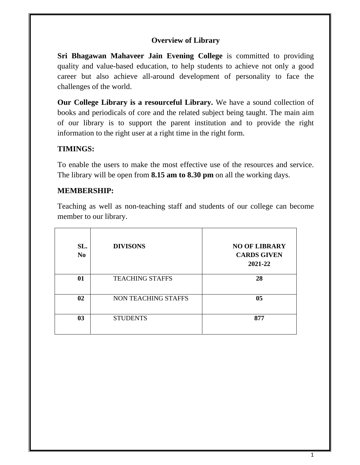### **Overview of Library**

**Sri Bhagawan Mahaveer Jain Evening College** is committed to providing quality and value-based education, to help students to achieve not only a good career but also achieve all-around development of personality to face the challenges of the world.

**Our College Library is a resourceful Library.** We have a sound collection of books and periodicals of core and the related subject being taught. The main aim of our library is to support the parent institution and to provide the right information to the right user at a right time in the right form.

### **TIMINGS:**

To enable the users to make the most effective use of the resources and service. The library will be open from **8.15 am to 8.30 pm** on all the working days.

## **MEMBERSHIP:**

Teaching as well as non-teaching staff and students of our college can become member to our library.

| SL.<br>N <sub>0</sub> | <b>DIVISONS</b>        | <b>NO OF LIBRARY</b><br><b>CARDS GIVEN</b><br>2021-22 |
|-----------------------|------------------------|-------------------------------------------------------|
| 01                    | <b>TEACHING STAFFS</b> | 28                                                    |
| 02                    | NON TEACHING STAFFS    | 05                                                    |
| 03                    | <b>STUDENTS</b>        | 877                                                   |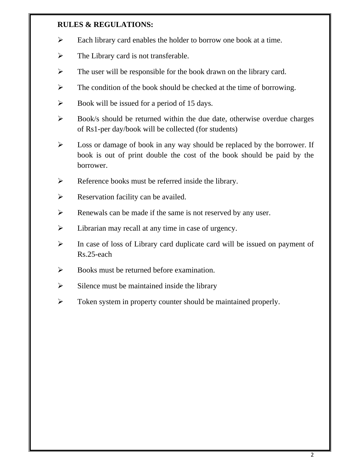#### **RULES & REGULATIONS:**

- Each library card enables the holder to borrow one book at a time.
- $\triangleright$  The Library card is not transferable.
- $\triangleright$  The user will be responsible for the book drawn on the library card.
- $\triangleright$  The condition of the book should be checked at the time of borrowing.
- $\triangleright$  Book will be issued for a period of 15 days.
- $\triangleright$  Book/s should be returned within the due date, otherwise overdue charges of Rs1-per day/book will be collected (for students)
- $\triangleright$  Loss or damage of book in any way should be replaced by the borrower. If book is out of print double the cost of the book should be paid by the borrower.
- $\triangleright$  Reference books must be referred inside the library.
- $\triangleright$  Reservation facility can be availed.
- $\triangleright$  Renewals can be made if the same is not reserved by any user.
- $\triangleright$  Librarian may recall at any time in case of urgency.
- $\triangleright$  In case of loss of Library card duplicate card will be issued on payment of Rs.25-each
- $\triangleright$  Books must be returned before examination.
- $\triangleright$  Silence must be maintained inside the library
- $\triangleright$  Token system in property counter should be maintained properly.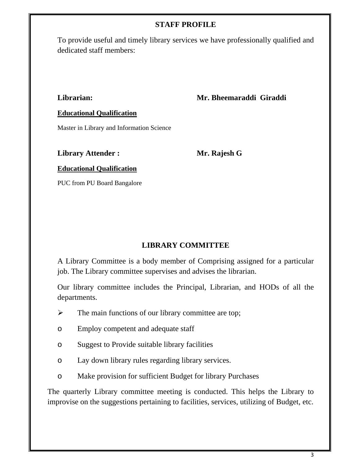#### **STAFF PROFILE**

To provide useful and timely library services we have professionally qualified and dedicated staff members:

**Librarian: Mr. Bheemaraddi Giraddi**

#### **Educational Qualification**

Master in Library and Information Science

#### **Library Attender :** Mr. Rajesh G

#### **Educational Qualification**

PUC from PU Board Bangalore

### **LIBRARY COMMITTEE**

A Library Committee is a body member of Comprising assigned for a particular job. The Library committee supervises and advises the librarian.

Our library committee includes the Principal, Librarian, and HODs of all the departments.

- $\triangleright$  The main functions of our library committee are top;
- o Employ competent and adequate staff
- o Suggest to Provide suitable library facilities
- o Lay down library rules regarding library services.
- o Make provision for sufficient Budget for library Purchases

The quarterly Library committee meeting is conducted. This helps the Library to improvise on the suggestions pertaining to facilities, services, utilizing of Budget, etc.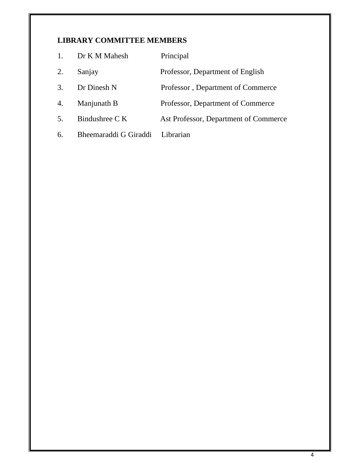# **LIBRARY COMMITTEE MEMBERS**

| 1. | Dr K M Mahesh         | Principal                             |
|----|-----------------------|---------------------------------------|
| 2. | Sanjay                | Professor, Department of English      |
| 3. | Dr Dinesh N           | Professor, Department of Commerce     |
| 4. | Manjunath B           | Professor, Department of Commerce     |
| 5. | Bindushree C K        | Ast Professor, Department of Commerce |
| 6. | Bheemaraddi G Giraddi | Librarian                             |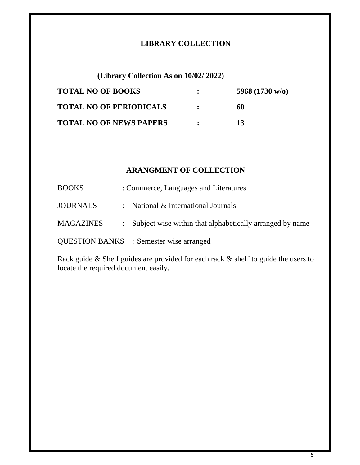### **LIBRARY COLLECTION**

**(Library Collection As on 10/02/ 2022)** 

| <b>TOTAL NO OF BOOKS</b>       |                | 5968 $(1730 \text{ w/o})$ |
|--------------------------------|----------------|---------------------------|
| <b>TOTAL NO OF PERIODICALS</b> |                | 60                        |
| <b>TOTAL NO OF NEWS PAPERS</b> | $\ddot{\cdot}$ | 13                        |

## **ARANGMENT OF COLLECTION**

| <b>BOOKS</b>    | : Commerce, Languages and Literatures                      |
|-----------------|------------------------------------------------------------|
| <b>JOURNALS</b> | : National $&$ International Journals                      |
| MAGAZINES       | : Subject wise within that alphabetically arranged by name |
|                 | <b>QUESTION BANKS</b> : Semester wise arranged             |

Rack guide & Shelf guides are provided for each rack & shelf to guide the users to locate the required document easily.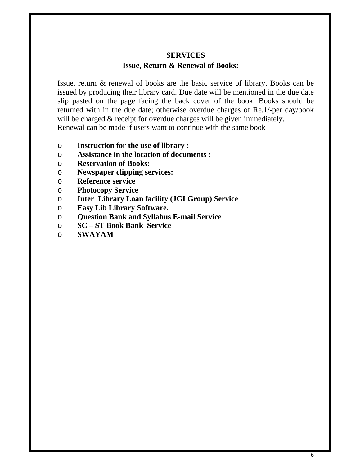## **SERVICES Issue, Return & Renewal of Books:**

Issue, return & renewal of books are the basic service of library. Books can be issued by producing their library card. Due date will be mentioned in the due date slip pasted on the page facing the back cover of the book. Books should be returned with in the due date; otherwise overdue charges of Re.1/-per day/book will be charged  $&$  receipt for overdue charges will be given immediately. Renewal **c**an be made if users want to continue with the same book

- o **Instruction for the use of library :**
- o **Assistance in the location of documents :**
- o **Reservation of Books:**
- o **Newspaper clipping services:**
- o **Reference service**
- o **Photocopy Service**
- o **Inter Library Loan facility (JGI Group) Service**
- o **Easy Lib Library Software.**
- o **Question Bank and Syllabus E-mail Service**
- o **SC ST Book Bank Service**
- o **SWAYAM**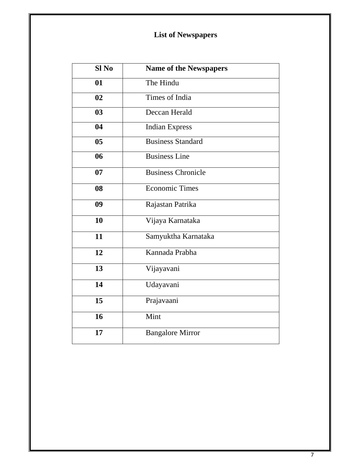# **List of Newspapers**

| Sl <sub>No</sub> | <b>Name of the Newspapers</b> |
|------------------|-------------------------------|
| 01               | The Hindu                     |
| 02               | <b>Times of India</b>         |
| 03               | Deccan Herald                 |
| 04               | <b>Indian Express</b>         |
| 0 <sub>5</sub>   | Business Standard             |
| 06               | <b>Business Line</b>          |
| 07               | Business Chronicle            |
| 08               | <b>Economic Times</b>         |
| 09               | Rajastan Patrika              |
| 10               | Vijaya Karnataka              |
| 11               | Samyuktha Karnataka           |
| 12               | Kannada Prabha                |
| 13               | Vijayavani                    |
| 14               | Udayavani                     |
| 15               | Prajavaani                    |
| 16               | Mint                          |
| 17               | <b>Bangalore Mirror</b>       |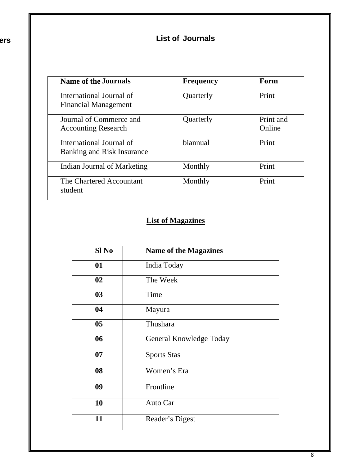**ers** 

# **List of Journals**

| <b>Name of the Journals</b>                            | <b>Frequency</b> | Form                |
|--------------------------------------------------------|------------------|---------------------|
| International Journal of<br>Financial Management       | Quarterly        | Print               |
| Journal of Commerce and<br><b>Accounting Research</b>  | Quarterly        | Print and<br>Online |
| International Journal of<br>Banking and Risk Insurance | biannual         | Print               |
| Indian Journal of Marketing                            | Monthly          | Print               |
| The Chartered Accountant<br>student                    | Monthly          | Print               |

# **List of Magazines**

| Sl No          | <b>Name of the Magazines</b> |
|----------------|------------------------------|
| 01             | India Today                  |
| 02             | The Week                     |
| 03             | Time                         |
| 04             | Mayura                       |
| 0 <sub>5</sub> | Thushara                     |
| 06             | General Knowledge Today      |
| 07             | <b>Sports Stas</b>           |
| 08             | Women's Era                  |
| 09             | Frontline                    |
| 10             | Auto Car                     |
| 11             | Reader's Digest              |